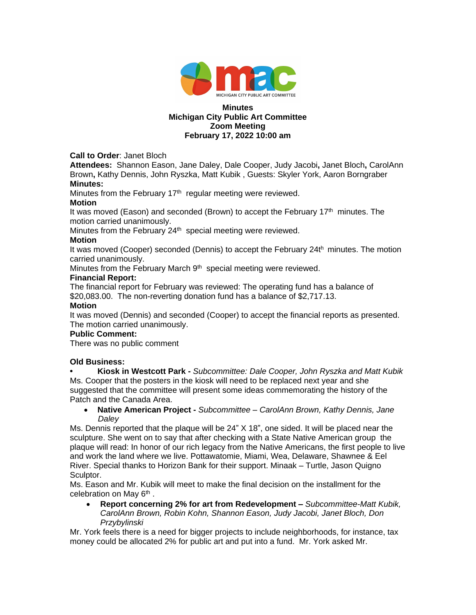

#### **Minutes Michigan City Public Art Committee Zoom Meeting February 17, 2022 10:00 am**

**Call to Order**: Janet Bloch

**Attendees:** Shannon Eason, Jane Daley, Dale Cooper, Judy Jacobi**,** Janet Bloch**,** CarolAnn Brown**,** Kathy Dennis, John Ryszka, Matt Kubik , Guests: Skyler York, Aaron Borngraber **Minutes:**

Minutes from the February  $17<sup>th</sup>$  regular meeting were reviewed.

#### **Motion**

It was moved (Eason) and seconded (Brown) to accept the February  $17<sup>th</sup>$  minutes. The motion carried unanimously.

Minutes from the February 24<sup>th</sup> special meeting were reviewed.

## **Motion**

It was moved (Cooper) seconded (Dennis) to accept the February 24th minutes. The motion carried unanimously.

Minutes from the February March  $9<sup>th</sup>$  special meeting were reviewed.

#### **Financial Report:**

The financial report for February was reviewed: The operating fund has a balance of \$20,083.00. The non-reverting donation fund has a balance of \$2,717.13.

#### **Motion**

It was moved (Dennis) and seconded (Cooper) to accept the financial reports as presented. The motion carried unanimously.

#### **Public Comment:**

There was no public comment

## **Old Business:**

**• Kiosk in Westcott Park -** *Subcommittee: Dale Cooper, John Ryszka and Matt Kubik* Ms. Cooper that the posters in the kiosk will need to be replaced next year and she suggested that the committee will present some ideas commemorating the history of the Patch and the Canada Area.

 **Native American Project -** *Subcommittee – CarolAnn Brown, Kathy Dennis, Jane Daley*

Ms. Dennis reported that the plaque will be 24" X 18", one sided. It will be placed near the sculpture. She went on to say that after checking with a State Native American group the plaque will read: In honor of our rich legacy from the Native Americans, the first people to live and work the land where we live. Pottawatomie, Miami, Wea, Delaware, Shawnee & Eel River. Special thanks to Horizon Bank for their support. Minaak – Turtle, Jason Quigno Sculptor.

Ms. Eason and Mr. Kubik will meet to make the final decision on the installment for the celebration on May 6<sup>th</sup>.

 **Report concerning 2% for art from Redevelopment –** *Subcommittee-Matt Kubik, CarolAnn Brown, Robin Kohn, Shannon Eason, Judy Jacobi, Janet Bloch, Don Przybylinski*

Mr. York feels there is a need for bigger projects to include neighborhoods, for instance, tax money could be allocated 2% for public art and put into a fund. Mr. York asked Mr.